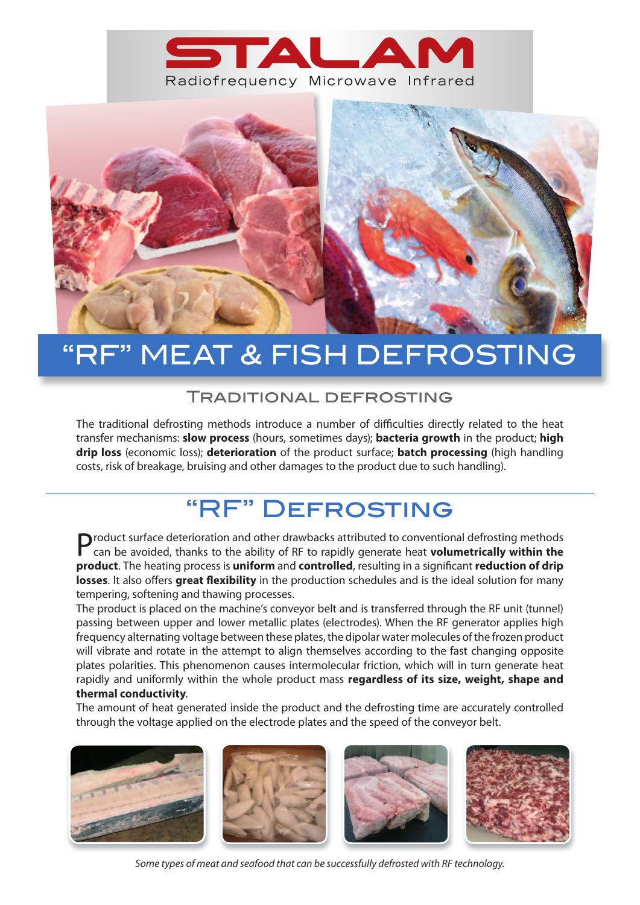



# MEAT & FISH DEFROSTING

#### Traditional defrosting

The traditional defrosting methods introduce a number of difficulties directly related to the heat transfer mechanisms: **slow process** (hours, sometimes days); **bacteria growth** in the product; **high drip loss** (economic loss); **deterioration** of the product surface; **batch processing** (high handling costs, risk of breakage, bruising and other damages to the product due to such handling).

### "RF" Defrosting

Product surface deterioration and other drawbacks attributed to conventional defrosting methods can be avoided, thanks to the ability of RF to rapidly generate heat **volumetrically within the product**. The heating process is **uniform** and **controlled**, resulting in a significant **reduction of drip losses**. It also offers **great flexibility** in the production schedules and is the ideal solution for many tempering, softening and thawing processes.

The product is placed on the machine's conveyor belt and is transferred through the RF unit (tunnel) passing between upper and lower metallic plates (electrodes). When the RF generator applies high frequency alternating voltage between these plates, the dipolar water molecules of the frozen product will vibrate and rotate in the attempt to align themselves according to the fast changing opposite plates polarities. This phenomenon causes intermolecular friction, which will in turn generate heat rapidly and uniformly within the whole product mass **regardless of its size, weight, shape and thermal conductivity**.

The amount of heat generated inside the product and the defrosting time are accurately controlled through the voltage applied on the electrode plates and the speed of the conveyor belt.



*Some types of meat and seafood that can be successfully defrosted with RF technology.*